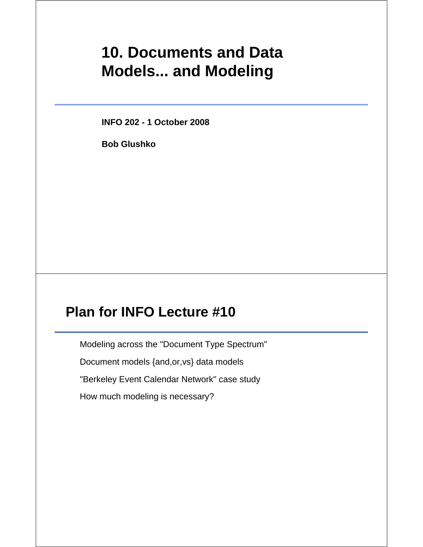# **10. Documents and Data Models... and Modeling**

**INFO 202 - 1 October 2008**

**Bob Glushko**

## **Plan for INFO Lecture #10**

Modeling across the "Document Type Spectrum"

Document models {and,or,vs} data models

"Berkeley Event Calendar Network" case study

How much modeling is necessary?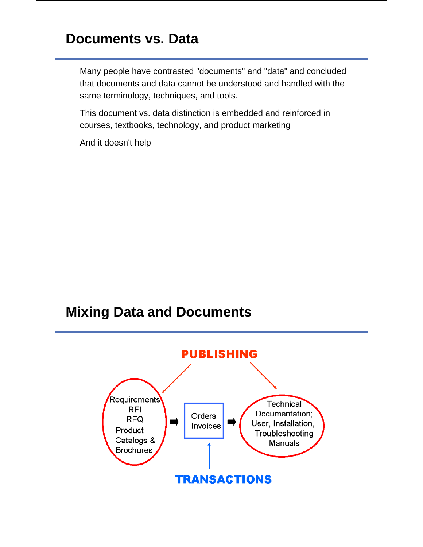#### **Documents vs. Data**

Many people have contrasted "documents" and "data" and concluded that documents and data cannot be understood and handled with the same terminology, techniques, and tools.

This document vs. data distinction is embedded and reinforced in courses, textbooks, technology, and product marketing

And it doesn't help

#### **Mixing Data and Documents**

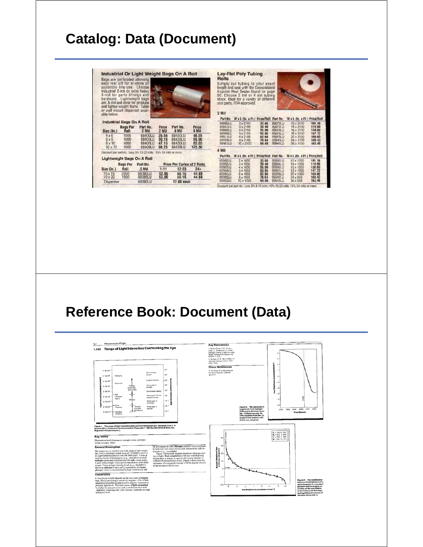# **Catalog: Data (Document)**

| Bags are perforated allowing<br>easy tear off for in-store or<br>assembly line use. Choose<br>industrial 2-mil or extra heavy<br>4-mil for parts fittings and<br>hardware. Lightweight bags<br>are .5 mil and ideal for produce<br>and lighter weight items. Table<br>or wall mount dispenser avail-<br>able below. |                              | Industrial Or Light Weight Bags On A Roll                         |                                  |                                          |                                   | <b>Rolls</b><br>2 Mil                    | Lay-Flat Poly Tubing<br>Simply cut tubing to your exact<br>length and seal with the Consolidated<br>Impulse Heat Sealer found on page<br>80. Choose 2 mil or 4 mil tubing<br>stock, Ideal for a variety of different<br>size parts. FDA approved. |                                  |                                           |
|---------------------------------------------------------------------------------------------------------------------------------------------------------------------------------------------------------------------------------------------------------------------------------------------------------------------|------------------------------|-------------------------------------------------------------------|----------------------------------|------------------------------------------|-----------------------------------|------------------------------------------|---------------------------------------------------------------------------------------------------------------------------------------------------------------------------------------------------------------------------------------------------|----------------------------------|-------------------------------------------|
|                                                                                                                                                                                                                                                                                                                     | Industrial Bags On A Roll    |                                                                   |                                  |                                          |                                   |                                          | Part No. W x L (In. x Ft.) Price/Rnll Part Nn.                                                                                                                                                                                                    |                                  |                                           |
| Size (In.)                                                                                                                                                                                                                                                                                                          | <b>Bags Per</b><br>Rell      | Part No.<br>2 Mil                                                 | Price<br>2 Mil                   | Part No.<br>4 Mil                        | Price<br>4 Mil                    | <b>B9965LU</b><br>89957111<br>89968EU    | $2 \times 2100$<br>$3 \times 2100$<br>4 × 2100                                                                                                                                                                                                    | 33.66<br>39.40<br>55.90          | 89972LU<br>89973LU<br>89974LU             |
| $4 \times 6$<br>$6 \times 9$<br>8 x 10<br>$10 \times 12$                                                                                                                                                                                                                                                            | 1000<br>1000<br>1000<br>1000 | 88400LU<br>88403LU<br>88406LU<br>88409LU                          | 25.55<br>39.15<br>47.15<br>68.25 | 88430LU<br>88433LU<br>88436LU<br>88439LU | 45.55<br>59.90<br>85.85<br>125.30 | 89969LU<br>89971LU<br>89979LU<br>89981LU | $5 \times 2100$<br>$6 \times 2100$<br><b>Bx2100</b><br>10 x 2100                                                                                                                                                                                  | 63.85<br>62.68<br>78.64<br>94.40 | 899751 U<br>89976LU<br>89940LU<br>89941LU |
|                                                                                                                                                                                                                                                                                                                     |                              | Discount per part no.: Less 5% 12-23 rolls; 15% 24 rolls or more, |                                  |                                          |                                   | 4 Mil                                    |                                                                                                                                                                                                                                                   |                                  |                                           |
|                                                                                                                                                                                                                                                                                                                     |                              | <b>Lightweight Bags On A Roll</b>                                 |                                  |                                          |                                   | Part No.                                 | W x L (In. x FL) Price/Roll Part No.                                                                                                                                                                                                              |                                  |                                           |
|                                                                                                                                                                                                                                                                                                                     | <b>Bags Per</b>              | Part No.                                                          |                                  | <b>Price Per Carton of 2 Rolls</b>       |                                   | 89980LU<br>89982LU<br>89983LU            | $2 \times 1050$<br>$3 \times 1050$<br>$4 \times 1050$                                                                                                                                                                                             | 33.66<br>39.40<br>55.90          | 89993LU<br>89994LU<br>89996L1J            |
| Size (In.)<br>$10 \times 15$<br>$10 \times 20$                                                                                                                                                                                                                                                                      | Roll<br>2000                 | .5 <sub>Mil</sub><br>88080LU<br>88085LU                           | $1 - 11$<br>52.80<br>52.80       | $12 - 23$<br>50.16<br>50.16              | $24 +$<br>44.88<br>44.88          | 89984LU<br>89986LU<br>89969LU            | 5 x 1050<br>6 x 1050<br>$8 \times 1050$                                                                                                                                                                                                           | 63.85<br>62.66<br>78.64          | 89997LU<br>89998LU<br>899421.U            |
| Dispenser                                                                                                                                                                                                                                                                                                           |                              | 88090LU                                                           |                                  | 17.80 pach                               |                                   | 39992LU                                  | 10 x 1050                                                                                                                                                                                                                                         | 94.40                            | 89943LU                                   |
|                                                                                                                                                                                                                                                                                                                     |                              |                                                                   |                                  |                                          |                                   |                                          | Discount per part no.: Less 5% 5-11 rolls: 10% 12-23 n                                                                                                                                                                                            |                                  |                                           |

101.18<br>119.86<br>138.60<br>147.72<br>168.43<br>168.49

Price/Roll<br>101.18<br>119.86<br>138.60<br>138.60<br>168.43<br>163.49

 $\frac{12 \times 10}{14 \times 10}$ 16 x 1050<br>18 x 1050<br>20 x 1050<br>24 x 850<br>36 x 550

15% 24 (

# **Reference Book: Document (Data)**

| Measurement of Light<br>1.1<br>Range of Light Intensities Confronting the Eye                                                                                                                                                                                                                                                                                                                                                                                                                                                                                 |                                                                                                                                                                                                                                                                                                                                           | <b>Key References</b><br>1. Boebe-Center, J. G., Carmi-                                                                                                                                                                                                                                                                                    |                                                                                           |                                     |
|---------------------------------------------------------------------------------------------------------------------------------------------------------------------------------------------------------------------------------------------------------------------------------------------------------------------------------------------------------------------------------------------------------------------------------------------------------------------------------------------------------------------------------------------------------------|-------------------------------------------------------------------------------------------------------------------------------------------------------------------------------------------------------------------------------------------------------------------------------------------------------------------------------------------|--------------------------------------------------------------------------------------------------------------------------------------------------------------------------------------------------------------------------------------------------------------------------------------------------------------------------------------------|-------------------------------------------------------------------------------------------|-------------------------------------|
| 1.103<br>$3.18\times10^{10}$<br>Damsging<br>$3.18x10^{8}$                                                                                                                                                                                                                                                                                                                                                                                                                                                                                                     | 10%<br>Suria surface<br>10 <sup>8</sup><br>45/60/9                                                                                                                                                                                                                                                                                        | chael, L., & Mead, L. C. (1964).<br>Davlight training of pilots for night<br><b>Bying, Announced Engineering</b><br>Review, J. 9-29.<br>2. Graham, C. H. (Ed.) (1965), Vi-<br>sizet and visual perception. New<br>York: Wiley.<br><b>Cross References</b><br>1.101 Range of visible energy in<br>the electromagnetic radiation<br>spectrum |                                                                                           |                                     |
| $3.18\times10^4$<br>Discomfort<br>Photopic<br>$3.18 \times 10^{4}$<br>(good color.)<br>good apultet<br>$3.10 \times 10^{3}$<br>- Plott<br>3.18 <sub>10</sub><br>saturation<br>begins.<br>Mesopo<br>$3.18x10 - 7$<br>Cona<br>з<br>Scolado<br>$3.18 + 10^{-4}$<br>threshold<br><b>GAIN COACH</b><br>poor acuity)<br>3.18x10 <sup>-4</sup> - Absolute<br><b>Brasheld</b><br>Figure 1. The range of light intensities that confront the human eye. (Adapted from C. H.<br>Graham (Ed.), Vision and visual perception. Copyright 0 1985 by John Wiley & Sons, Inc. | <b>Kyngsten frament</b><br>w<br>10 <sup>4</sup><br>White paper in<br><b>Sunlight</b><br>$10^{8}$<br>Confortable reading<br>10 <sup>1</sup><br>White pager 1 ft from<br>standard cande<br>$10^{-3}$<br>White paper in<br>moorsight<br>$10^{-4}$<br>White paper in<br>startight.<br>$10^{-4}$                                               | Figure 2. The decrease in<br>brightness from daylight<br>(5:00 pm) to darkness (sun-<br>set -9:30 pm) on July 14,<br>1942 (edugted from Ref. 2).<br>Angle of test patch in rela-<br>tion to sun not given.                                                                                                                                 | л,<br>$-4$<br>$-5-$<br>1700<br>1900                                                       | 1900 2000 2100 2200<br>Time (hours) |
| Reprinted with permission.)<br><b>Key Terms</b><br>Illumination level; luminance; mesopic vision; photopic<br>vision: scenopic vision                                                                                                                                                                                                                                                                                                                                                                                                                         |                                                                                                                                                                                                                                                                                                                                           | 40                                                                                                                                                                                                                                                                                                                                         | . - July 14, 1942<br>$+ A1 3.1942$<br>$A = 5$ ept. 2, 1942<br>$\triangle$ = Mar. 12, 1943 |                                     |
| <b>General Description</b><br>The buman eve is sensitive to a wide range of light intensi-<br>ties, from a minimum visible level of ~0.000003 cd/m2 to                                                                                                                                                                                                                                                                                                                                                                                                        | the perception of color. Mesopie (mixed) vision (mediated<br>by beth rods and cones) occurs with intermediate light in-<br>tensities (e.g., moonlight).<br>Figure 2 shows how outdoor brightness decreases dur-<br>ing twilight. Dark adaptation of the eye with declining<br>illumination is at least as rapid as this normal decline in | 50<br>v<br>60                                                                                                                                                                                                                                                                                                                              |                                                                                           |                                     |
| an upper tolerance limit of over 300,000 cd/m2. Vision at<br>very low levels of illumination (e.g., starlight) is termed<br>scotople vision and is mediated by the rods; visual actity<br>is poor with scotopic vision and no sensation of color (hue)<br>occurs. Vision at high intensity levels (e.g., daylight) is<br>known as photopic vision and is mediated by the cones;<br>photopic vision is characterized by high visual acutty and                                                                                                                 | ambient illumination at evening. Figure 3 shows how the<br>luminance of a test patch changes with the angular elevatio<br>of the sun above the horizon.                                                                                                                                                                                   | ١ċ<br><b>SAN</b><br>flunter                                                                                                                                                                                                                                                                                                                |                                                                                           |                                     |
| <b>Constraints</b>                                                                                                                                                                                                                                                                                                                                                                                                                                                                                                                                            |                                                                                                                                                                                                                                                                                                                                           | $-10$                                                                                                                                                                                                                                                                                                                                      |                                                                                           |                                     |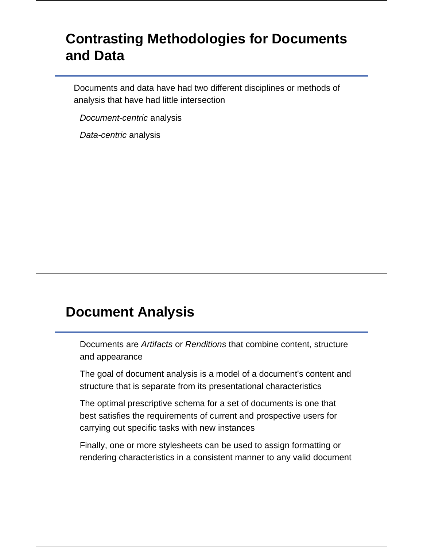## **Contrasting Methodologies for Documents and Data**

Documents and data have had two different disciplines or methods of analysis that have had little intersection

*Document-centric* analysis

*Data-centric* analysis

#### **Document Analysis**

Documents are *Artifacts* or *Renditions* that combine content, structure and appearance

The goal of document analysis is a model of a document's content and structure that is separate from its presentational characteristics

The optimal prescriptive schema for a set of documents is one that best satisfies the requirements of current and prospective users for carrying out specific tasks with new instances

Finally, one or more stylesheets can be used to assign formatting or rendering characteristics in a consistent manner to any valid document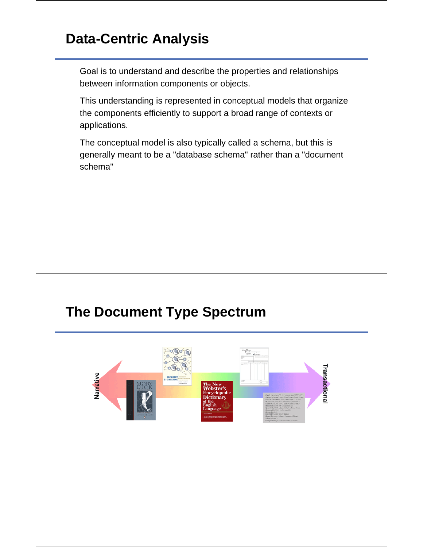## **Data-Centric Analysis**

Goal is to understand and describe the properties and relationships between information components or objects.

This understanding is represented in conceptual models that organize the components efficiently to support a broad range of contexts or applications.

The conceptual model is also typically called a schema, but this is generally meant to be a "database schema" rather than a "document schema"

#### **The Document Type Spectrum**

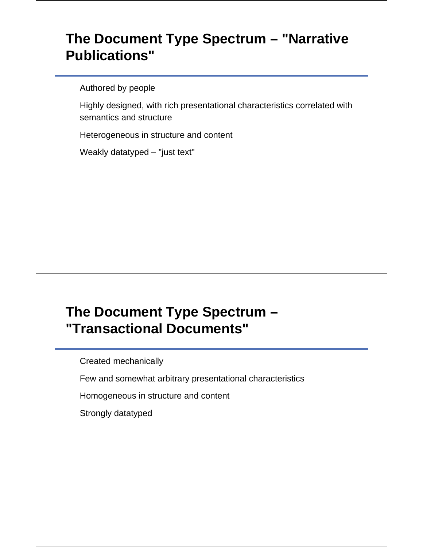## **The Document Type Spectrum – "Narrative Publications"**

Authored by people

Highly designed, with rich presentational characteristics correlated with semantics and structure

Heterogeneous in structure and content

Weakly datatyped – "just text"

## **The Document Type Spectrum – "Transactional Documents"**

Created mechanically

Few and somewhat arbitrary presentational characteristics

Homogeneous in structure and content

Strongly datatyped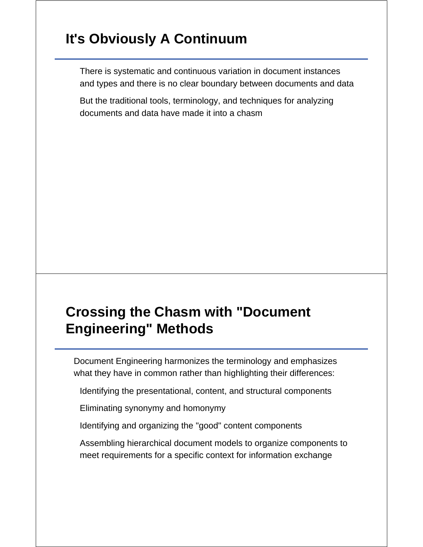## **It's Obviously A Continuum**

There is systematic and continuous variation in document instances and types and there is no clear boundary between documents and data

But the traditional tools, terminology, and techniques for analyzing documents and data have made it into a chasm

## **Crossing the Chasm with "Document Engineering" Methods**

Document Engineering harmonizes the terminology and emphasizes what they have in common rather than highlighting their differences:

Identifying the presentational, content, and structural components

Eliminating synonymy and homonymy

Identifying and organizing the "good" content components

Assembling hierarchical document models to organize components to meet requirements for a specific context for information exchange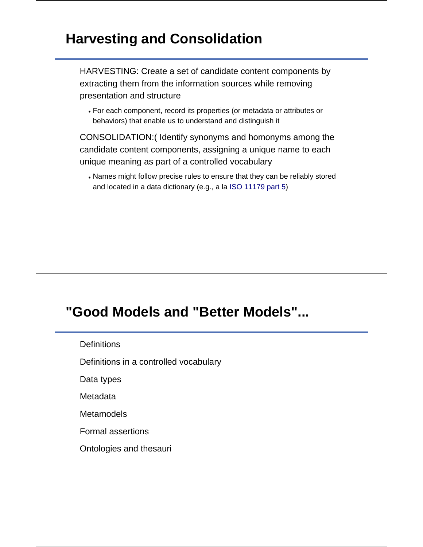### **Harvesting and Consolidation**

HARVESTING: Create a set of candidate content components by extracting them from the information sources while removing presentation and structure

For each component, record its properties (or metadata or attributes or behaviors) that enable us to understand and distinguish it

CONSOLIDATION:( Identify synonyms and homonyms among the candidate content components, assigning a unique name to each unique meaning as part of a controlled vocabulary

Names might follow precise rules to ensure that they can be reliably stored and located in a data dictionary (e.g., a la ISO 11179 part 5)

#### **"Good Models and "Better Models"...**

**Definitions** 

Definitions in a controlled vocabulary

Data types

**Metadata** 

**Metamodels** 

Formal assertions

Ontologies and thesauri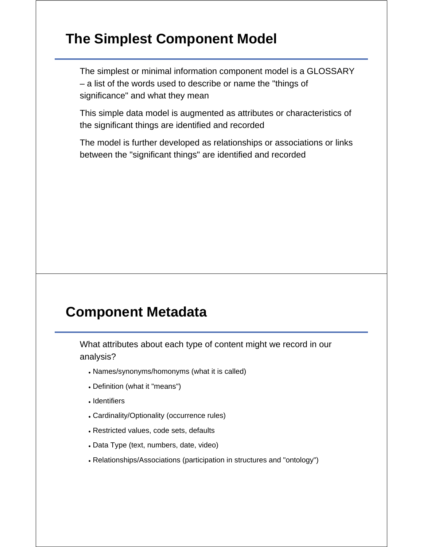#### **The Simplest Component Model**

The simplest or minimal information component model is a GLOSSARY – a list of the words used to describe or name the "things of significance" and what they mean

This simple data model is augmented as attributes or characteristics of the significant things are identified and recorded

The model is further developed as relationships or associations or links between the "significant things" are identified and recorded

#### **Component Metadata**

What attributes about each type of content might we record in our analysis?

- Names/synonyms/homonyms (what it is called)
- Definition (what it "means")
- Identifiers
- Cardinality/Optionality (occurrence rules)
- Restricted values, code sets, defaults
- Data Type (text, numbers, date, video)
- Relationships/Associations (participation in structures and "ontology")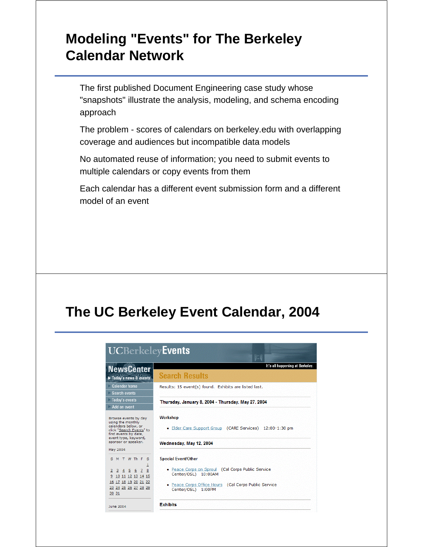## **Modeling "Events" for The Berkeley Calendar Network**

The first published Document Engineering case study whose "snapshots" illustrate the analysis, modeling, and schema encoding approach

The problem - scores of calendars on berkeley.edu with overlapping coverage and audiences but incompatible data models

No automated reuse of information; you need to submit events to multiple calendars or copy events from them

Each calendar has a different event submission form and a different model of an event

#### **The UC Berkeley Event Calendar, 2004**

|                                                                                                                                              | <b>Search Results</b>                                                       |
|----------------------------------------------------------------------------------------------------------------------------------------------|-----------------------------------------------------------------------------|
| Today's news & events                                                                                                                        |                                                                             |
| Calendar home<br>Search events                                                                                                               | Results: 15 event(s) found. Exhibits are listed last.                       |
| Today's events<br>Add an event                                                                                                               | Thursday, January 8, 2004 - Thursday, May 27, 2004                          |
| Browse events by day<br>using the monthly<br>calendars below, or<br>click "Search Events" to<br>find events by date,<br>event type, keyword, | <b>Workshop</b><br>• Elder Care Support Group (CARE Services) 12:00-1:30 pm |
| sponsor or speaker.<br>May 2004                                                                                                              | Wednesday, May 12, 2004                                                     |
| S M T W Th F S                                                                                                                               | <b>Special Event/Other</b>                                                  |
| 1<br>8<br>3 4 5 6<br>$\overline{7}$<br>2<br>9 10 11 12 13 14 15                                                                              | · Peace Corps on Sproul (Cal Corps Public Service<br>Center/OSL) 10:00AM    |
| 16 17 18 19 20 21 22<br>23 24 25 26 27 28 29<br>30 31                                                                                        | . Peace Corps Office Hours (Cal Corps Public Service<br>Center/OSL) 1:00PM  |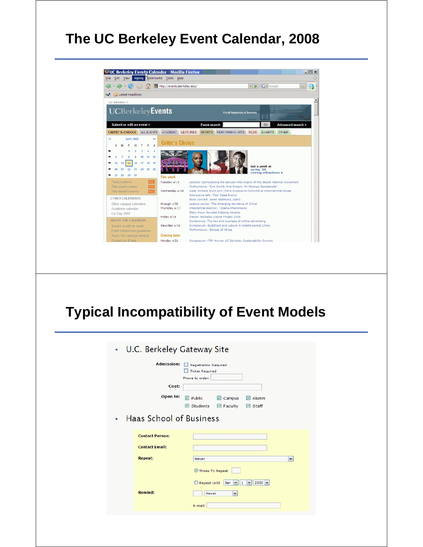## **The UC Berkeley Event Calendar, 2008**



## **Typical Incompatibility of Event Models**

| U.C. Berkeley Gateway Site<br>$\mathbf{B}$<br><b>Admission:</b><br>Registration Required<br><b>Ticket Required</b><br>Phone to order:<br>Cost:<br>Open to:<br>$\n  Public\n$<br>$\triangledown$ Campus<br>$\triangleright$ Alumni<br>$\triangleright$ Students<br>$\triangledown$ Faculty<br><b>☑</b> Staff<br><b>Haas School of Business</b><br>$\mathbf{r}$<br><b>Contact Person:</b><br><b>Contact Email:</b><br><b>Repeat:</b><br>$\checkmark$<br>Never<br>Times To Repeat<br>Repeat Until<br>Jan $\vee$ 1 $\vee$<br>$2000 \times$<br><b>Remind:</b><br>Never<br>$\check{ }$<br>E-mail: |  |  |  |  |
|---------------------------------------------------------------------------------------------------------------------------------------------------------------------------------------------------------------------------------------------------------------------------------------------------------------------------------------------------------------------------------------------------------------------------------------------------------------------------------------------------------------------------------------------------------------------------------------------|--|--|--|--|
|                                                                                                                                                                                                                                                                                                                                                                                                                                                                                                                                                                                             |  |  |  |  |
|                                                                                                                                                                                                                                                                                                                                                                                                                                                                                                                                                                                             |  |  |  |  |
|                                                                                                                                                                                                                                                                                                                                                                                                                                                                                                                                                                                             |  |  |  |  |
|                                                                                                                                                                                                                                                                                                                                                                                                                                                                                                                                                                                             |  |  |  |  |
|                                                                                                                                                                                                                                                                                                                                                                                                                                                                                                                                                                                             |  |  |  |  |
|                                                                                                                                                                                                                                                                                                                                                                                                                                                                                                                                                                                             |  |  |  |  |
|                                                                                                                                                                                                                                                                                                                                                                                                                                                                                                                                                                                             |  |  |  |  |
|                                                                                                                                                                                                                                                                                                                                                                                                                                                                                                                                                                                             |  |  |  |  |
|                                                                                                                                                                                                                                                                                                                                                                                                                                                                                                                                                                                             |  |  |  |  |
|                                                                                                                                                                                                                                                                                                                                                                                                                                                                                                                                                                                             |  |  |  |  |
|                                                                                                                                                                                                                                                                                                                                                                                                                                                                                                                                                                                             |  |  |  |  |
|                                                                                                                                                                                                                                                                                                                                                                                                                                                                                                                                                                                             |  |  |  |  |
|                                                                                                                                                                                                                                                                                                                                                                                                                                                                                                                                                                                             |  |  |  |  |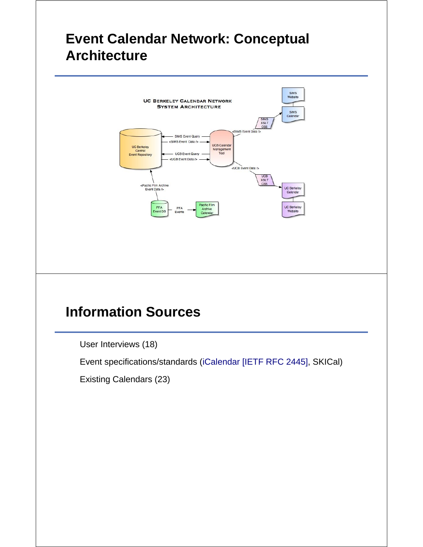#### **Event Calendar Network: Conceptual Architecture**



## **Information Sources**

User Interviews (18)

Event specifications/standards (iCalendar [IETF RFC 2445], SKICal)

Existing Calendars (23)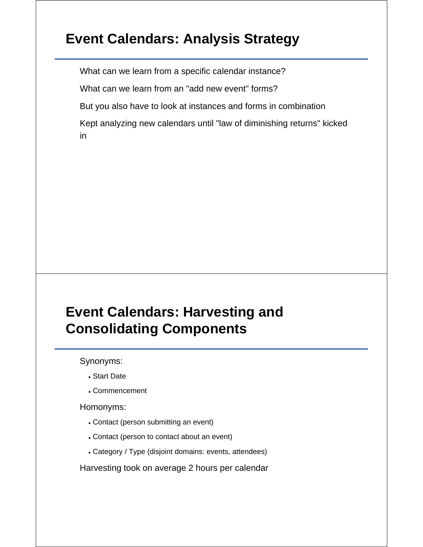## **Event Calendars: Analysis Strategy**

What can we learn from a specific calendar instance?

What can we learn from an "add new event" forms?

But you also have to look at instances and forms in combination

Kept analyzing new calendars until "law of diminishing returns" kicked in

## **Event Calendars: Harvesting and Consolidating Components**

Synonyms:

- Start Date
- Commencement

#### Homonyms:

- Contact (person submitting an event)
- Contact (person to contact about an event)
- Category / Type (disjoint domains: events, attendees)

Harvesting took on average 2 hours per calendar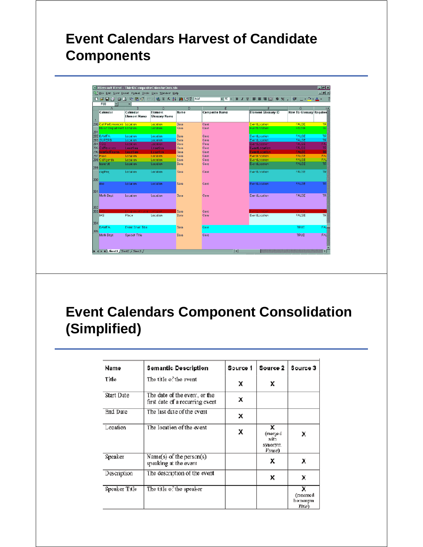# **Event Calendars Harvest of Candidate Components**

|                | <b>F88</b><br>▾               | $=$<br>B                        |                                      | D           |                            |                            |                                      |
|----------------|-------------------------------|---------------------------------|--------------------------------------|-------------|----------------------------|----------------------------|--------------------------------------|
| $\overline{1}$ | Α<br>Calendar                 | Calendar<br><b>Element Name</b> | c<br>Element<br><b>Glossary Name</b> | Name        | ε<br><b>Composite Name</b> | <b>Element Glossary ID</b> | G<br><b>New To Glossary Required</b> |
|                | 290 Cal Performances Location |                                 | Location                             | Sara        | Core                       | EventLocation              | <b>FALSE</b>                         |
|                | Music Department Location     |                                 | Location                             | Sara        | Core                       | EventLocation              | <b>FALSE</b>                         |
| 291            | 292 EAMFA                     | Location                        | Location                             | Sara        | Core                       | EventLocation              | FALSE                                |
|                | 293 SUFERB                    | Location                        | Location                             | Sara        | Core                       | EventLocation              | FALSE                                |
|                | 294 COE                       | Location:                       | Location                             | Sara        | Core                       | EventLocation              | FALSE<br><b>FA</b>                   |
|                | 295 CatAerodics               | Location                        | Location                             | Sara        | Core                       | <b>EventLocation</b>       | <b>FALSE</b>                         |
|                | 296 InterColffearns           | Location                        | Location                             | Sara        | Core                       | <b>EventLocation</b>       | <b>FALSE</b>                         |
|                | <b>297 Hann</b>               | Location                        | Location                             | Sara        | Core                       | Eventil scation.           | <b>FALSE</b><br><b>FAL</b>           |
|                | 298 CalAgenda                 | Location.                       | Location                             | Sara        | Core                       | EventLocation              | <b>FALSE</b><br>FAU                  |
| 299            | bancroft                      | Local on                        | Location                             | Sara        | Core                       | EventLocation              | <b>FALSE</b>                         |
|                | capPre)                       | Location.                       | Location                             | Sara        | Core                       | EventLocation              | <b>FALSE</b>                         |
| 300            |                               |                                 |                                      |             |                            |                            |                                      |
|                | doe                           | Location                        | Location                             | Sara        | Core                       | EventLocation              | FALSE                                |
| 301            | <b>Math Dept</b>              | Location.                       | Location                             | <b>Sara</b> | Core                       | EventLocation              | FALSE                                |
|                |                               |                                 |                                      |             |                            |                            |                                      |
| 302<br>303     |                               | Length as of such as a manager  |                                      | Sara        | Core                       | <b>Service State</b>       |                                      |
|                | <b>IAS</b>                    | Place                           | Location                             | Sara        | Core                       | EventLocation              | FALSE                                |
| 304            |                               |                                 |                                      |             |                            |                            |                                      |
|                | <b>BAMFA</b>                  | <b>Event Short Title</b>        |                                      | Sara        | Core                       |                            | <b>TRUE</b><br>FAL                   |
| 305            |                               |                                 |                                      |             |                            |                            |                                      |
|                | Math Dept                     | Speach Title                    |                                      | Sora        | Coro                       |                            | FAL<br><b>TRUE</b>                   |

## **Event Calendars Component Consolidation (Simplified)**

| Name          | Semantic Description                                             | Source 1 | Source 2                                    | Source 3                                |
|---------------|------------------------------------------------------------------|----------|---------------------------------------------|-----------------------------------------|
| Title         | The title of the event                                           | x        | x                                           |                                         |
| Start Date    | The date of the event, or the<br>first date of a recurring event | x        |                                             |                                         |
| End Date      | The last date of the event                                       | x        |                                             |                                         |
| Location      | The location of the event                                        | Х        | x<br>(merge d<br>wifn<br>SVMONVIL<br>Venre) | x                                       |
| Speaker       | Name(s) of the person(s)<br>speaking at the event                |          | х                                           | х                                       |
| Description   | The description of the event                                     |          | x                                           | x                                       |
| Speaker Title | The title of the speaker                                         |          |                                             | X<br>(renemed<br>homonym<br>$_{Tite}$ ) |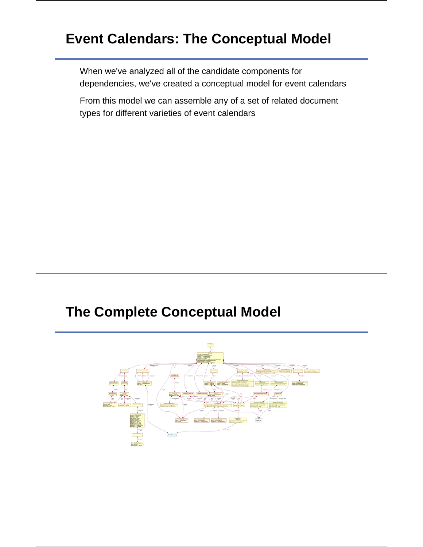## **Event Calendars: The Conceptual Model**

When we've analyzed all of the candidate components for dependencies, we've created a conceptual model for event calendars

From this model we can assemble any of a set of related document types for different varieties of event calendars

#### **The Complete Conceptual Model**

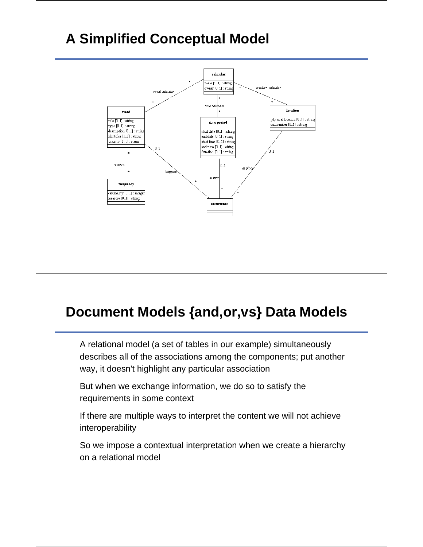# **A Simplified Conceptual Model**



#### **Document Models {and,or,vs} Data Models**

A relational model (a set of tables in our example) simultaneously describes all of the associations among the components; put another way, it doesn't highlight any particular association

But when we exchange information, we do so to satisfy the requirements in some context

If there are multiple ways to interpret the content we will not achieve interoperability

So we impose a contextual interpretation when we create a hierarchy on a relational model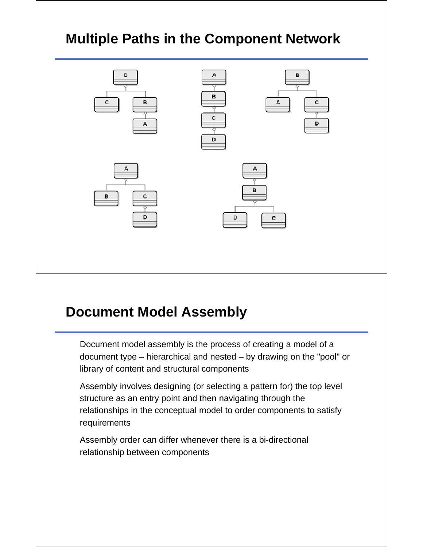# **Multiple Paths in the Component Network**



#### **Document Model Assembly**

Document model assembly is the process of creating a model of a document type – hierarchical and nested – by drawing on the "pool" or library of content and structural components

Assembly involves designing (or selecting a pattern for) the top level structure as an entry point and then navigating through the relationships in the conceptual model to order components to satisfy requirements

Assembly order can differ whenever there is a bi-directional relationship between components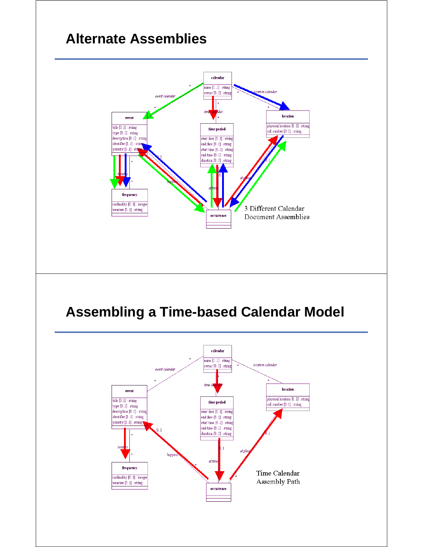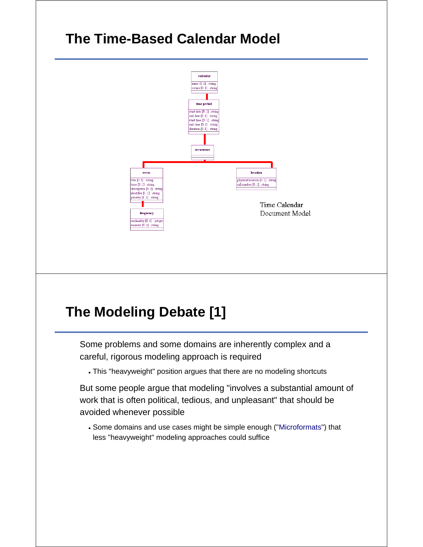## **The Time-Based Calendar Model**



# **The Modeling Debate [1]**

Some problems and some domains are inherently complex and a careful, rigorous modeling approach is required

This "heavyweight" position argues that there are no modeling shortcuts

But some people argue that modeling "involves a substantial amount of work that is often political, tedious, and unpleasant" that should be avoided whenever possible

Some domains and use cases might be simple enough ("Microformats") that less "heavyweight" modeling approaches could suffice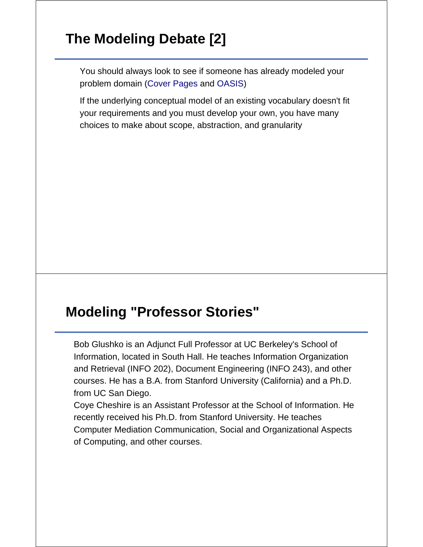## **The Modeling Debate [2]**

You should always look to see if someone has already modeled your problem domain (Cover Pages and OASIS)

If the underlying conceptual model of an existing vocabulary doesn't fit your requirements and you must develop your own, you have many choices to make about scope, abstraction, and granularity

#### **Modeling "Professor Stories"**

Bob Glushko is an Adjunct Full Professor at UC Berkeley's School of Information, located in South Hall. He teaches Information Organization and Retrieval (INFO 202), Document Engineering (INFO 243), and other courses. He has a B.A. from Stanford University (California) and a Ph.D. from UC San Diego.

Coye Cheshire is an Assistant Professor at the School of Information. He recently received his Ph.D. from Stanford University. He teaches Computer Mediation Communication, Social and Organizational Aspects of Computing, and other courses.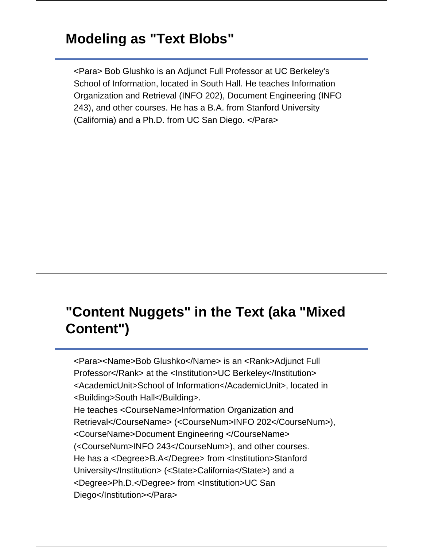#### **Modeling as "Text Blobs"**

<Para> Bob Glushko is an Adjunct Full Professor at UC Berkeley's School of Information, located in South Hall. He teaches Information Organization and Retrieval (INFO 202), Document Engineering (INFO 243), and other courses. He has a B.A. from Stanford University (California) and a Ph.D. from UC San Diego. </Para>

## **"Content Nuggets" in the Text (aka "Mixed Content")**

<Para><Name>Bob Glushko</Name> is an <Rank>Adjunct Full Professor</Rank> at the <Institution>UC Berkeley</Institution> <AcademicUnit>School of Information</AcademicUnit>, located in <Building>South Hall</Building>. He teaches <CourseName>Information Organization and Retrieval</CourseName> (<CourseNum>INFO 202</CourseNum>), <CourseName>Document Engineering </CourseName> (<CourseNum>INFO 243</CourseNum>), and other courses. He has a <Degree>B.A</Degree> from <Institution>Stanford University</Institution> (<State>California</State>) and a

<Degree>Ph.D.</Degree> from <Institution>UC San Diego</Institution></Para>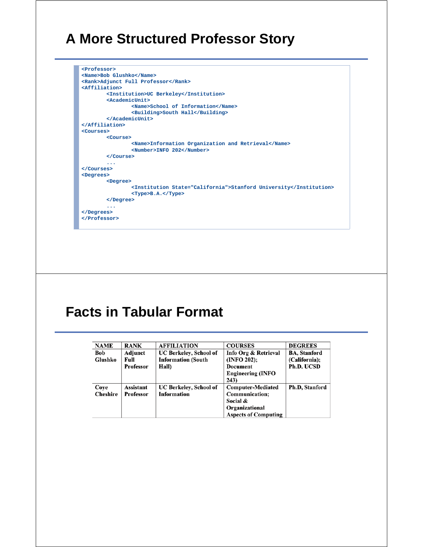#### **A More Structured Professor Story**



## **Facts in Tabular Format**

| <b>NAME</b>     | <b>RANK</b>      | <b>AFFILIATION</b>            | <b>COURSES</b>              | <b>DEGREES</b>      |
|-----------------|------------------|-------------------------------|-----------------------------|---------------------|
| <b>Bob</b>      | Adjunct          | <b>UC Berkeley, School of</b> | Info Org & Retrieval        | <b>BA, Stanford</b> |
| Glushko         | Full             | <b>Information (South</b>     | (INFO 202);                 | (California);       |
|                 | <b>Professor</b> | Hall)                         | <b>Document</b>             | Ph.D. UCSD          |
|                 |                  |                               | <b>Engineering (INFO</b>    |                     |
|                 |                  |                               | 243)                        |                     |
| Coye            | Assistant        | <b>UC Berkeley, School of</b> | <b>Computer-Mediated</b>    | Ph.D. Stanford      |
| <b>Cheshire</b> | <b>Professor</b> | <b>Information</b>            | Communication;              |                     |
|                 |                  |                               | Social &                    |                     |
|                 |                  |                               | Organizational              |                     |
|                 |                  |                               | <b>Aspects of Computing</b> |                     |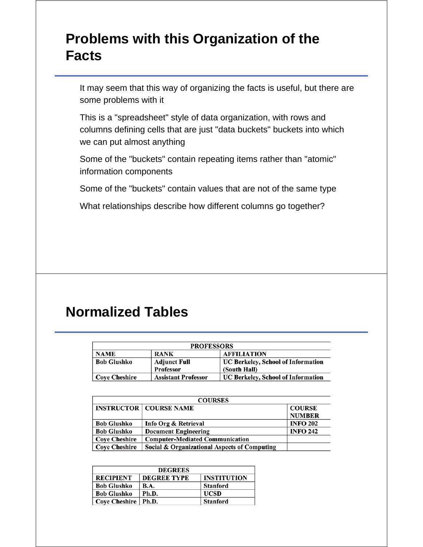## **Problems with this Organization of the Facts**

It may seem that this way of organizing the facts is useful, but there are some problems with it

This is a "spreadsheet" style of data organization, with rows and columns defining cells that are just "data buckets" buckets into which we can put almost anything

Some of the "buckets" contain repeating items rather than "atomic" information components

Some of the "buckets" contain values that are not of the same type

What relationships describe how different columns go together?

#### **Normalized Tables**

| <b>PROFESSORS</b>  |                            |                                    |  |  |  |  |
|--------------------|----------------------------|------------------------------------|--|--|--|--|
| <b>NAME</b>        | <b>RANK</b>                | <b>AFFILIATION</b>                 |  |  |  |  |
| <b>Bob Glushko</b> | <b>Adjunct Full</b>        | UC Berkeley, School of Information |  |  |  |  |
|                    | Professor                  | (South Hall)                       |  |  |  |  |
| Cove Cheshire      | <b>Assistant Professor</b> | UC Berkeley, School of Information |  |  |  |  |

| <b>COURSES</b>       |                                              |                 |  |  |  |
|----------------------|----------------------------------------------|-----------------|--|--|--|
|                      | <b>INSTRUCTOR   COURSE NAME</b>              | <b>COURSE</b>   |  |  |  |
|                      |                                              | <b>NUMBER</b>   |  |  |  |
| <b>Bob Glushko</b>   | Info Org & Retrieval                         | <b>INFO 202</b> |  |  |  |
| <b>Bob Glushko</b>   | <b>Document Engineering</b>                  | <b>INFO 242</b> |  |  |  |
| <b>Coye Cheshire</b> | <b>Computer-Mediated Communication</b>       |                 |  |  |  |
| <b>Cove Cheshire</b> | Social & Organizational Aspects of Computing |                 |  |  |  |

| <b>DEGREES</b>       |                    |                    |  |  |  |  |
|----------------------|--------------------|--------------------|--|--|--|--|
| <b>RECIPIENT</b>     | <b>DEGREE TYPE</b> | <b>INSTITUTION</b> |  |  |  |  |
| <b>Bob Glushko</b>   | <b>B.A.</b>        | <b>Stanford</b>    |  |  |  |  |
| <b>Bob Glushko</b>   | Ph.D.              | <b>UCSD</b>        |  |  |  |  |
| <b>Cove Cheshire</b> | $\vert$ Ph.D.      | <b>Stanford</b>    |  |  |  |  |